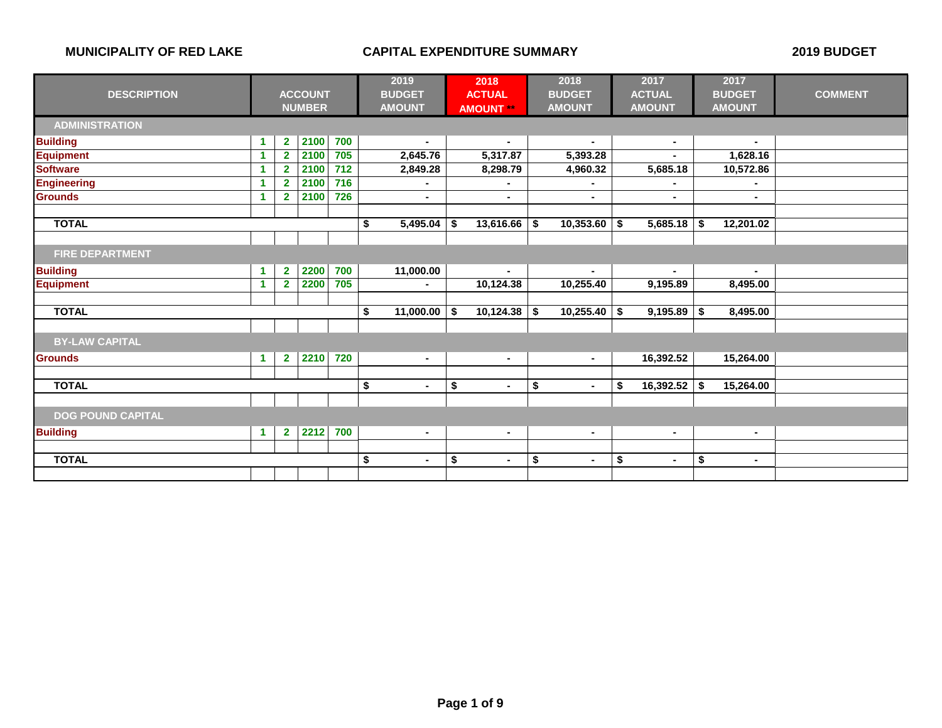|                          |   |                |                | 2019 |                      | 2018 | 2018             | 2017            |    |                | 2017 |                |                |
|--------------------------|---|----------------|----------------|------|----------------------|------|------------------|-----------------|----|----------------|------|----------------|----------------|
| <b>DESCRIPTION</b>       |   |                | <b>ACCOUNT</b> |      | <b>BUDGET</b>        |      | <b>ACTUAL</b>    | <b>BUDGET</b>   |    | <b>ACTUAL</b>  |      | <b>BUDGET</b>  | <b>COMMENT</b> |
|                          |   |                | <b>NUMBER</b>  |      | <b>AMOUNT</b>        |      | <b>AMOUNT **</b> | <b>AMOUNT</b>   |    | <b>AMOUNT</b>  |      | <b>AMOUNT</b>  |                |
| <b>ADMINISTRATION</b>    |   |                |                |      |                      |      |                  |                 |    |                |      |                |                |
| <b>Building</b>          | 1 | $\mathbf{2}$   | 2100           | 700  | $\blacksquare$       |      | $\sim$           | $\sim$          |    | $\sim$         |      | $\blacksquare$ |                |
| <b>Equipment</b>         | 1 | $\overline{2}$ | 2100           | 705  | 2,645.76             |      | 5,317.87         | 5,393.28        |    |                |      | 1,628.16       |                |
| <b>Software</b>          | 1 | $\overline{2}$ | 2100           | 712  | 2,849.28             |      | 8,298.79         | 4,960.32        |    | 5,685.18       |      | 10,572.86      |                |
| <b>Engineering</b>       |   | $\overline{2}$ | 2100           | 716  |                      |      | ۰                | $\blacksquare$  |    | $\blacksquare$ |      | $\blacksquare$ |                |
| <b>Grounds</b>           | 1 | $\overline{2}$ | 2100           | 726  | $\blacksquare$       |      | $\blacksquare$   | $\blacksquare$  |    | $\sim$         |      | $\blacksquare$ |                |
| <b>TOTAL</b>             |   |                |                |      | \$<br>5,495.04       | \$   | 13,616.66        | \$<br>10,353.60 | \$ | 5,685.18       | \$   | 12,201.02      |                |
|                          |   |                |                |      |                      |      |                  |                 |    |                |      |                |                |
| <b>FIRE DEPARTMENT</b>   |   |                |                |      |                      |      |                  |                 |    |                |      |                |                |
| <b>Building</b>          | 1 | $\overline{2}$ | 2200           | 700  | 11,000.00            |      | $\blacksquare$   | $\sim$          |    | $\sim$         |      | $\blacksquare$ |                |
| <b>Equipment</b>         | 1 | $\overline{2}$ | 2200           | 705  |                      |      | 10,124.38        | 10,255.40       |    | 9,195.89       |      | 8,495.00       |                |
|                          |   |                |                |      |                      |      |                  |                 |    |                |      |                |                |
| <b>TOTAL</b>             |   |                |                |      | \$<br>11,000.00      | Ŝ.   | 10,124.38        | \$<br>10,255.40 | \$ | 9,195.89       | \$   | 8,495.00       |                |
|                          |   |                |                |      |                      |      |                  |                 |    |                |      |                |                |
| <b>BY-LAW CAPITAL</b>    |   |                |                |      |                      |      |                  |                 |    |                |      |                |                |
| Grounds                  | 1 | $\overline{2}$ | 2210           | 720  | $\blacksquare$       |      | $\sim$           | $\sim$          |    | 16,392.52      |      | 15,264.00      |                |
|                          |   |                |                |      |                      |      |                  |                 |    |                |      |                |                |
| <b>TOTAL</b>             |   |                |                |      | \$<br>$\blacksquare$ | \$   | $\blacksquare$   | \$<br>$\sim$    | \$ | 16,392.52      | \$   | 15,264.00      |                |
|                          |   |                |                |      |                      |      |                  |                 |    |                |      |                |                |
| <b>DOG POUND CAPITAL</b> |   |                |                |      |                      |      |                  |                 |    |                |      |                |                |
| <b>Building</b>          | 1 | $\overline{2}$ | 2212           | 700  | $\blacksquare$       |      | $\blacksquare$   | $\blacksquare$  |    | $\sim$         |      | $\blacksquare$ |                |
|                          |   |                |                |      |                      |      |                  |                 |    |                |      |                |                |
| <b>TOTAL</b>             |   |                |                |      | \$<br>Ē.             | \$   | $\blacksquare$   | \$<br>٠         | \$ | $\sim$         | \$   | $\sim$         |                |
|                          |   |                |                |      |                      |      |                  |                 |    |                |      |                |                |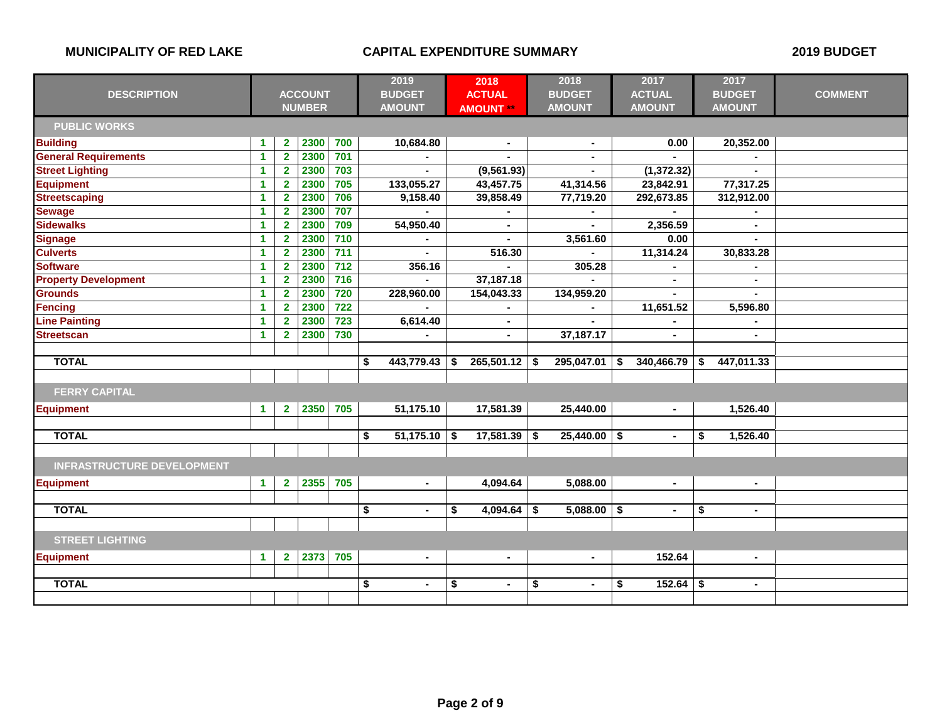|                                   |                      |                         |                | 2019             |                         | 2018           | 2018 | 2017             | 2017                 |                  |                      |                |
|-----------------------------------|----------------------|-------------------------|----------------|------------------|-------------------------|----------------|------|------------------|----------------------|------------------|----------------------|----------------|
| <b>DESCRIPTION</b>                |                      |                         | <b>ACCOUNT</b> |                  |                         | <b>BUDGET</b>  |      | <b>ACTUAL</b>    | <b>BUDGET</b>        | <b>ACTUAL</b>    | <b>BUDGET</b>        | <b>COMMENT</b> |
|                                   |                      |                         | <b>NUMBER</b>  |                  |                         | <b>AMOUNT</b>  |      | <b>AMOUNT **</b> | <b>AMOUNT</b>        | <b>AMOUNT</b>    | <b>AMOUNT</b>        |                |
| <b>PUBLIC WORKS</b>               |                      |                         |                |                  |                         |                |      |                  |                      |                  |                      |                |
| <b>Building</b>                   | 1                    | $\overline{\mathbf{2}}$ | 2300           | 700              |                         | 10,684.80      |      | $\blacksquare$   |                      | 0.00             | 20,352.00            |                |
| <b>General Requirements</b>       | $\blacktriangleleft$ | $\overline{2}$          | 2300           | 701              |                         |                |      |                  |                      |                  |                      |                |
| <b>Street Lighting</b>            | 1                    | $\mathbf{2}$            | 2300           | 703              |                         |                |      | (9, 561.93)      |                      | (1, 372.32)      |                      |                |
| <b>Equipment</b>                  | 1                    | $\overline{2}$          | 2300           | 705              |                         | 133,055.27     |      | 43,457.75        | 41,314.56            | 23,842.91        | 77,317.25            |                |
| <b>Streetscaping</b>              | 1                    | $\overline{2}$          | 2300           | 706              |                         | 9,158.40       |      | 39,858.49        | 77,719.20            | 292,673.85       | 312,912.00           |                |
| <b>Sewage</b>                     | 1                    | $\overline{2}$          | 2300           | 707              |                         |                |      |                  |                      |                  |                      |                |
| <b>Sidewalks</b>                  | 1                    | $\mathbf{2}$            | 2300           | 709              |                         | 54,950.40      |      | $\blacksquare$   |                      | 2,356.59         | $\blacksquare$       |                |
| <b>Signage</b>                    | 1                    | $\mathbf{2}$            | 2300           | 710              |                         |                |      |                  | 3,561.60             | 0.00             |                      |                |
| <b>Culverts</b>                   | 1                    | $\overline{2}$          | 2300           | $\overline{711}$ |                         |                |      | 516.30           |                      | 11,314.24        | 30,833.28            |                |
| <b>Software</b>                   | 1                    | $\mathbf{2}$            | 2300           | $\overline{712}$ |                         | 356.16         |      |                  | 305.28               |                  |                      |                |
| <b>Property Development</b>       | -1                   | $\mathbf{2}$            | 2300           | $\overline{716}$ |                         |                |      | 37,187.18        |                      | $\sim$           |                      |                |
| <b>Grounds</b>                    | 1                    | $\overline{2}$          | 2300           | 720              |                         | 228,960.00     |      | 154,043.33       | 134,959.20           |                  |                      |                |
| <b>Fencing</b>                    | 1                    | $\overline{2}$          | 2300           | $\overline{722}$ |                         |                |      |                  |                      | 11,651.52        | 5,596.80             |                |
| <b>Line Painting</b>              | 1                    | $\overline{2}$          | 2300           | $\overline{723}$ |                         | 6,614.40       |      | $\blacksquare$   |                      |                  |                      |                |
| <b>Streetscan</b>                 | 1                    | $\mathbf{2}$            | 2300           | 730              |                         |                |      |                  | 37,187.17            |                  |                      |                |
|                                   |                      |                         |                |                  |                         |                |      |                  |                      |                  |                      |                |
| <b>TOTAL</b>                      |                      |                         |                |                  | \$                      | 443,779.43     | \$   | 265,501.12       | \$<br>295,047.01     | \$<br>340,466.79 | \$<br>447,011.33     |                |
|                                   |                      |                         |                |                  |                         |                |      |                  |                      |                  |                      |                |
| <b>FERRY CAPITAL</b>              |                      |                         |                |                  |                         |                |      |                  |                      |                  |                      |                |
| <b>Equipment</b>                  | 1                    | $\overline{2}$          | 2350           | 705              |                         | 51,175.10      |      | 17,581.39        | 25,440.00            | $\sim$           | 1,526.40             |                |
|                                   |                      |                         |                |                  |                         |                |      |                  |                      |                  |                      |                |
| <b>TOTAL</b>                      |                      |                         |                |                  | \$                      | 51,175.10      | -\$  | 17,581.39        | \$<br>25,440.00      | \$<br>$\sim$     | \$<br>1,526.40       |                |
|                                   |                      |                         |                |                  |                         |                |      |                  |                      |                  |                      |                |
| <b>INFRASTRUCTURE DEVELOPMENT</b> |                      |                         |                |                  |                         |                |      |                  |                      |                  |                      |                |
| <b>Equipment</b>                  | $\mathbf{1}$         | $\mathbf{2}$            | 2355           | 705              |                         | $\blacksquare$ |      | 4,094.64         | 5,088.00             | $\blacksquare$   | $\blacksquare$       |                |
|                                   |                      |                         |                |                  |                         |                |      |                  |                      |                  |                      |                |
| <b>TOTAL</b>                      |                      |                         |                |                  | $\overline{\mathbf{s}}$ | $\blacksquare$ | \$   | 4,094.64         | \$<br>$5,088.00$ \$  | $\sim$           | \$<br>$\sim$         |                |
|                                   |                      |                         |                |                  |                         |                |      |                  |                      |                  |                      |                |
| <b>STREET LIGHTING</b>            |                      |                         |                |                  |                         |                |      |                  |                      |                  |                      |                |
| <b>Equipment</b>                  | $\blacktriangleleft$ | $\overline{2}$          | 2373           | 705              |                         | $\blacksquare$ |      | $\blacksquare$   | $\blacksquare$       | 152.64           | $\blacksquare$       |                |
|                                   |                      |                         |                |                  |                         |                |      |                  |                      |                  |                      |                |
| <b>TOTAL</b>                      |                      |                         |                |                  | \$                      | $\blacksquare$ | \$   | $\blacksquare$   | \$<br>$\blacksquare$ | \$<br>152.64     | \$<br>$\blacksquare$ |                |
|                                   |                      |                         |                |                  |                         |                |      |                  |                      |                  |                      |                |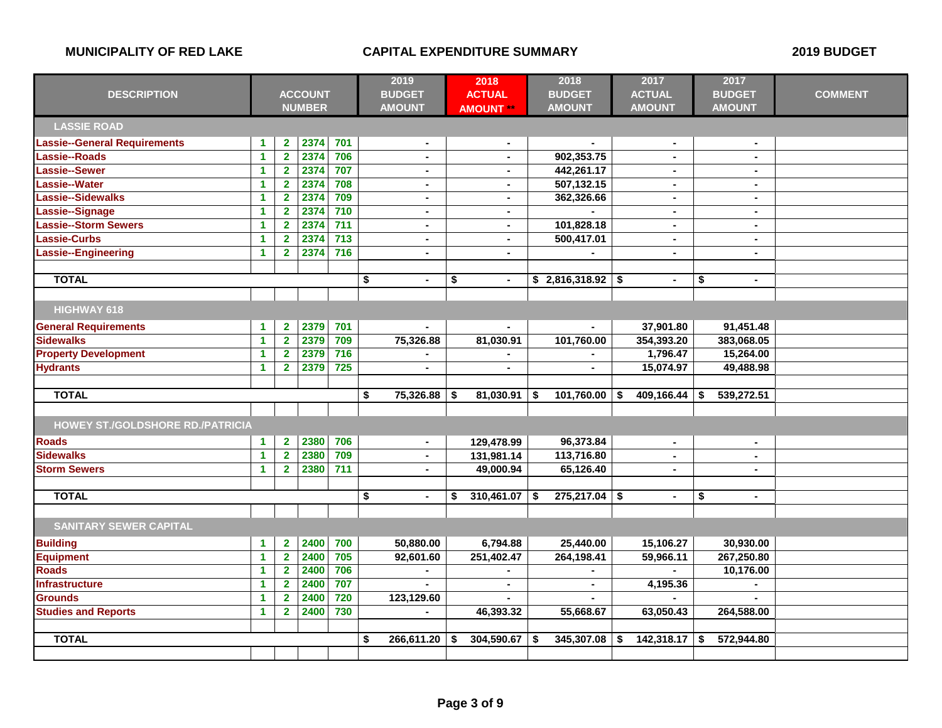|                                         |                      |                         | 2019           | 2018             |                      | 2018                 |    | 2017           | 2017 |                |                      |                |
|-----------------------------------------|----------------------|-------------------------|----------------|------------------|----------------------|----------------------|----|----------------|------|----------------|----------------------|----------------|
| <b>DESCRIPTION</b>                      |                      |                         | <b>ACCOUNT</b> |                  | <b>BUDGET</b>        | <b>ACTUAL</b>        |    | <b>BUDGET</b>  |      | <b>ACTUAL</b>  | <b>BUDGET</b>        | <b>COMMENT</b> |
|                                         |                      |                         | <b>NUMBER</b>  |                  | <b>AMOUNT</b>        | <b>AMOUNT**</b>      |    | <b>AMOUNT</b>  |      | <b>AMOUNT</b>  | <b>AMOUNT</b>        |                |
| <b>LASSIE ROAD</b>                      |                      |                         |                |                  |                      |                      |    |                |      |                |                      |                |
| Lassie--General Requirements            | 1                    | $\mathbf 2$             | 2374           | 701              | $\blacksquare$       | $\blacksquare$       |    |                |      | $\blacksquare$ | $\blacksquare$       |                |
| Lassie--Roads                           | $\mathbf{1}$         | $\overline{\mathbf{2}}$ | 2374           | 706              | $\mathbf{r}$         | $\blacksquare$       |    | 902,353.75     |      | $\blacksquare$ | a.                   |                |
| Lassie--Sewer                           | 1                    | $\mathbf 2$             | 2374           | 707              | $\blacksquare$       | $\blacksquare$       |    | 442,261.17     |      | $\blacksquare$ | $\blacksquare$       |                |
| Lassie--Water                           | 1                    | $\overline{2}$          | 2374           | 708              | $\sim$               | $\sim$               |    | 507,132.15     |      | $\blacksquare$ | $\blacksquare$       |                |
| Lassie--Sidewalks                       | 1                    | $\overline{\mathbf{2}}$ | 2374           | 709              | $\blacksquare$       | $\blacksquare$       |    | 362,326.66     |      | $\blacksquare$ | $\blacksquare$       |                |
| Lassie--Signage                         | 1                    | $\overline{\mathbf{2}}$ | 2374           | $\overline{710}$ | $\mathbf{r}$         | $\blacksquare$       |    |                |      | $\blacksquare$ | $\blacksquare$       |                |
| <b>Lassie--Storm Sewers</b>             | 1                    | $\overline{\mathbf{2}}$ | 2374           | $\overline{711}$ | $\blacksquare$       | $\blacksquare$       |    | 101,828.18     |      | $\blacksquare$ | $\blacksquare$       |                |
| Lassie-Curbs                            | 1                    | $\overline{\mathbf{2}}$ | 2374           | $\overline{713}$ | $\sim$               | $\sim$               |    | 500,417.01     |      | $\blacksquare$ | $\blacksquare$       |                |
| Lassie--Engineering                     | $\blacktriangleleft$ | $\overline{\mathbf{2}}$ | 2374           | $\frac{1}{716}$  |                      |                      |    |                |      | $\blacksquare$ | $\blacksquare$       |                |
|                                         |                      |                         |                |                  |                      |                      |    |                |      |                |                      |                |
| <b>TOTAL</b>                            |                      |                         |                |                  | \$<br>$\blacksquare$ | \$<br>$\blacksquare$ |    | \$2,816,318.92 | - 5  | $\blacksquare$ | \$<br>$\blacksquare$ |                |
|                                         |                      |                         |                |                  |                      |                      |    |                |      |                |                      |                |
| HIGHWAY 618                             |                      |                         |                |                  |                      |                      |    |                |      |                |                      |                |
| <b>General Requirements</b>             | $\blacktriangleleft$ | $\overline{\mathbf{2}}$ | 2379           | 701              |                      |                      |    |                |      | 37,901.80      | 91,451.48            |                |
| <b>Sidewalks</b>                        | 1                    | $\overline{2}$          | 2379           | 709              | 75,326.88            | 81,030.91            |    | 101,760.00     |      | 354,393.20     | 383,068.05           |                |
| <b>Property Development</b>             | 1                    | $\overline{2}$          | 2379           | 716              |                      |                      |    |                |      | 1,796.47       | 15,264.00            |                |
| <b>Hydrants</b>                         | 1                    | $\overline{2}$          | 2379           | 725              | $\sim$               | $\blacksquare$       |    | $\blacksquare$ |      | 15,074.97      | 49,488.98            |                |
|                                         |                      |                         |                |                  |                      |                      |    |                |      |                |                      |                |
| <b>TOTAL</b>                            |                      |                         |                |                  | \$<br>75,326.88      | \$<br>81,030.91      | \$ | 101,760.00     | \$   | 409,166.44     | \$<br>539,272.51     |                |
|                                         |                      |                         |                |                  |                      |                      |    |                |      |                |                      |                |
| <b>HOWEY ST./GOLDSHORE RD./PATRICIA</b> |                      |                         |                |                  |                      |                      |    |                |      |                |                      |                |
| <b>Roads</b>                            | 1                    | $\mathbf{2}$            | 2380           | 706              |                      | 129,478.99           |    | 96,373.84      |      | $\blacksquare$ | $\blacksquare$       |                |
| <b>Sidewalks</b>                        | $\mathbf{1}$         | $\overline{2}$          | 2380           | 709              | $\blacksquare$       | 131,981.14           |    | 113,716.80     |      | $\blacksquare$ | $\blacksquare$       |                |
| <b>Storm Sewers</b>                     | 1                    | $\overline{2}$          | 2380           | 711              | $\blacksquare$       | 49,000.94            |    | 65,126.40      |      | $\blacksquare$ | $\blacksquare$       |                |
|                                         |                      |                         |                |                  |                      |                      |    |                |      |                |                      |                |
| <b>TOTAL</b>                            |                      |                         |                |                  | \$                   | \$<br>310,461.07     | \$ | 275,217.04     | -\$  | $\blacksquare$ | \$<br>$\blacksquare$ |                |
|                                         |                      |                         |                |                  |                      |                      |    |                |      |                |                      |                |
| <b>SANITARY SEWER CAPITAL</b>           |                      |                         |                |                  |                      |                      |    |                |      |                |                      |                |
| <b>Building</b>                         | $\mathbf{1}$         | $\overline{\mathbf{2}}$ | 2400           | 700              | 50,880.00            | 6,794.88             |    | 25,440.00      |      | 15,106.27      | 30,930.00            |                |
| <b>Equipment</b>                        | 1                    | $\overline{\mathbf{2}}$ | 2400           | 705              | 92,601.60            | 251,402.47           |    | 264,198.41     |      | 59,966.11      | 267,250.80           |                |
| <b>Roads</b>                            | 1                    | $\overline{2}$          | 2400           | 706              |                      |                      |    |                |      |                | 10,176.00            |                |
| <b>Infrastructure</b>                   | 1                    | $\overline{2}$          | 2400           | 707              |                      | $\sim$               |    | $\blacksquare$ |      | 4,195.36       |                      |                |
| <b>Grounds</b>                          | 1                    | $\overline{2}$          | 2400           | 720              | 123,129.60           |                      |    |                |      |                |                      |                |
| <b>Studies and Reports</b>              | $\mathbf{1}$         | $\overline{2}$          | 2400           | 730              |                      | 46,393.32            |    | 55,668.67      |      | 63,050.43      | 264,588.00           |                |
|                                         |                      |                         |                |                  |                      |                      |    |                |      |                |                      |                |
| <b>TOTAL</b>                            |                      |                         |                |                  | \$<br>266,611.20     | \$<br>304,590.67     | \$ | 345,307.08     | \$   | 142,318.17     | \$<br>572,944.80     |                |
|                                         |                      |                         |                |                  |                      |                      |    |                |      |                |                      |                |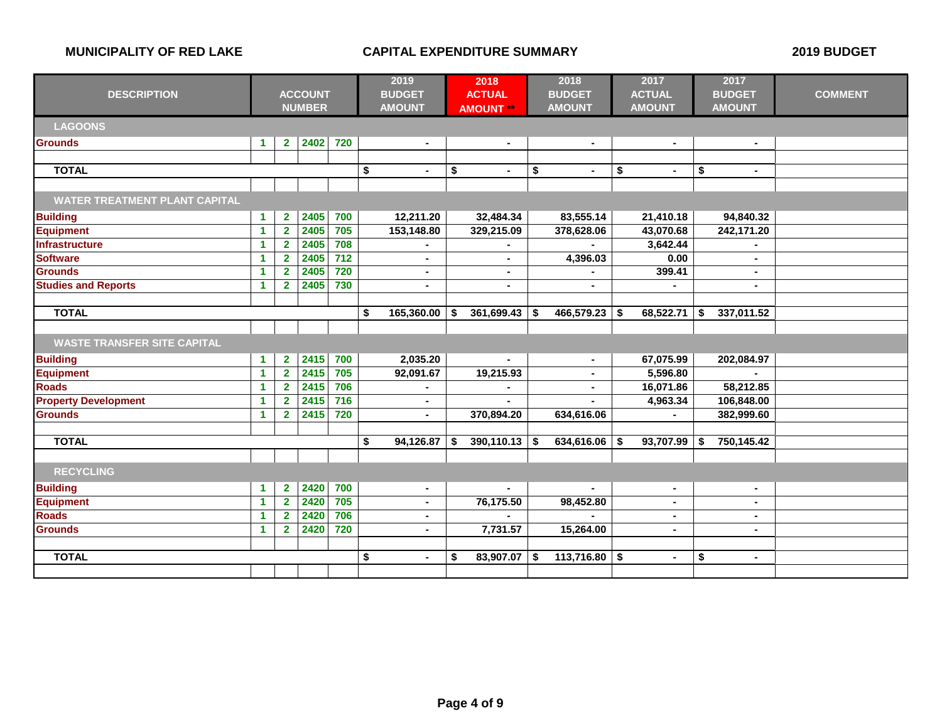| <b>DESCRIPTION</b>                   | <b>ACCOUNT</b><br><b>NUMBER</b> |                         |      |                 | 2019<br><b>BUDGET</b><br><b>AMOUNT</b> | 2018<br><b>ACTUAL</b><br><b>AMOUNT **</b> |                 |           | 2018<br><b>BUDGET</b><br><b>AMOUNT</b> |            | 2017<br><b>ACTUAL</b><br><b>AMOUNT</b> |    | 2017<br><b>BUDGET</b><br><b>AMOUNT</b> | <b>COMMENT</b> |
|--------------------------------------|---------------------------------|-------------------------|------|-----------------|----------------------------------------|-------------------------------------------|-----------------|-----------|----------------------------------------|------------|----------------------------------------|----|----------------------------------------|----------------|
| <b>LAGOONS</b>                       |                                 |                         |      |                 |                                        |                                           |                 |           |                                        |            |                                        |    |                                        |                |
| <b>Grounds</b>                       | $\blacktriangleleft$            | $\overline{2}$          | 2402 | 720             | $\blacksquare$                         |                                           | $\blacksquare$  |           | $\blacksquare$                         |            | $\blacksquare$                         |    | $\blacksquare$                         |                |
|                                      |                                 |                         |      |                 |                                        |                                           |                 |           |                                        |            |                                        |    |                                        |                |
| <b>TOTAL</b>                         |                                 |                         |      |                 | \$<br>$\blacksquare$                   | \$                                        | $\blacksquare$  | \$        | $\blacksquare$                         | \$         | $\blacksquare$                         | \$ | $\blacksquare$                         |                |
|                                      |                                 |                         |      |                 |                                        |                                           |                 |           |                                        |            |                                        |    |                                        |                |
| <b>WATER TREATMENT PLANT CAPITAL</b> |                                 |                         |      |                 |                                        |                                           |                 |           |                                        |            |                                        |    |                                        |                |
| <b>Building</b>                      | $\blacktriangleleft$            | $\mathbf{2}$            | 2405 | 700             | 12,211.20                              |                                           | 32,484.34       |           | 83,555.14                              |            | 21,410.18                              |    | 94,840.32                              |                |
| <b>Equipment</b>                     | 1                               | $\overline{\mathbf{2}}$ | 2405 | 705             | 153,148.80                             |                                           | 329,215.09      |           | 378,628.06                             |            | 43,070.68                              |    | 242,171.20                             |                |
| <b>Infrastructure</b>                | $\blacktriangleleft$            | $\overline{2}$          | 2405 | 708             |                                        |                                           |                 |           |                                        |            | 3,642.44                               |    |                                        |                |
| <b>Software</b>                      | -1                              | $\mathbf{2}$            | 2405 | 712             | $\blacksquare$                         |                                           | $\blacksquare$  |           | 4,396.03                               |            | 0.00                                   |    | $\blacksquare$                         |                |
| <b>Grounds</b>                       | -1                              | $\overline{2}$          | 2405 | 720             | ٠                                      |                                           | ٠               |           |                                        |            | 399.41                                 |    | $\blacksquare$                         |                |
| <b>Studies and Reports</b>           | $\blacktriangleleft$            | $\overline{2}$          | 2405 | 730             | $\blacksquare$                         |                                           | $\blacksquare$  |           | $\blacksquare$                         |            |                                        |    | $\blacksquare$                         |                |
|                                      |                                 |                         |      |                 |                                        |                                           |                 |           |                                        |            |                                        |    |                                        |                |
| <b>TOTAL</b>                         |                                 | $165,360.00$ \$<br>-\$  |      | $361,699.43$ \$ |                                        | 466,579.23                                | S               | 68,522.71 | \$                                     | 337,011.52 |                                        |    |                                        |                |
|                                      |                                 |                         |      |                 |                                        |                                           |                 |           |                                        |            |                                        |    |                                        |                |
| <b>WASTE TRANSFER SITE CAPITAL</b>   |                                 |                         |      |                 |                                        |                                           |                 |           |                                        |            |                                        |    |                                        |                |
| <b>Building</b>                      | $\blacktriangleleft$            | $\mathbf{2}$            | 2415 | 700             | 2,035.20                               |                                           | $\blacksquare$  |           | $\blacksquare$                         |            | 67,075.99                              |    | 202,084.97                             |                |
| <b>Equipment</b>                     | $\blacktriangleleft$            | $\overline{2}$          | 2415 | 705             | 92,091.67                              |                                           | 19,215.93       |           | $\blacksquare$                         |            | 5,596.80                               |    |                                        |                |
| <b>Roads</b>                         | $\blacktriangleleft$            | $\overline{2}$          | 2415 | 706             |                                        |                                           | $\blacksquare$  |           | $\blacksquare$                         |            | 16,071.86                              |    | 58,212.85                              |                |
| <b>Property Development</b>          | 1                               | $\mathbf{2}$            | 2415 | 716             | $\blacksquare$                         |                                           |                 |           |                                        |            | 4,963.34                               |    | 106,848.00                             |                |
| <b>Grounds</b>                       | $\blacktriangleleft$            | $\overline{2}$          | 2415 | 720             | $\blacksquare$                         |                                           | 370,894.20      |           | 634,616.06                             |            | ÷.                                     |    | 382,999.60                             |                |
|                                      |                                 |                         |      |                 |                                        |                                           |                 |           |                                        |            |                                        |    |                                        |                |
| <b>TOTAL</b>                         |                                 |                         |      |                 | $\overline{\bullet}$<br>94,126.87      | \$                                        | $390,110.13$ \$ |           | 634,616.06                             | Ŝ.         | 93,707.99                              | \$ | 750,145.42                             |                |
|                                      |                                 |                         |      |                 |                                        |                                           |                 |           |                                        |            |                                        |    |                                        |                |
| <b>RECYCLING</b>                     |                                 |                         |      |                 |                                        |                                           |                 |           |                                        |            |                                        |    |                                        |                |
| <b>Building</b>                      | $\blacktriangleleft$            | $\mathbf{2}$            | 2420 | 700             | $\blacksquare$                         |                                           |                 |           |                                        |            | $\blacksquare$                         |    | $\blacksquare$                         |                |
| <b>Equipment</b>                     | $\overline{1}$                  | $\overline{\mathbf{2}}$ | 2420 | 705             | $\blacksquare$                         |                                           | 76,175.50       |           | 98,452.80                              |            | $\blacksquare$                         |    | $\blacksquare$                         |                |
| <b>Roads</b>                         | $\blacktriangleleft$            | $\overline{2}$          | 2420 | 706             | $\blacksquare$                         |                                           |                 |           |                                        |            | $\blacksquare$                         |    | $\blacksquare$                         |                |
| <b>Grounds</b>                       | $\blacktriangleleft$            | $\overline{2}$          | 2420 | 720             | $\blacksquare$                         |                                           | 7,731.57        |           | 15,264.00                              |            | $\sim$                                 |    | $\blacksquare$                         |                |
|                                      |                                 |                         |      |                 |                                        |                                           |                 |           |                                        |            |                                        |    |                                        |                |
| <b>TOTAL</b>                         |                                 |                         |      |                 |                                        |                                           | 83,907.07       | \$        | 113,716.80                             | \$         | $\blacksquare$                         | \$ | $\sim$                                 |                |
|                                      |                                 |                         |      |                 |                                        |                                           |                 |           |                                        |            |                                        |    |                                        |                |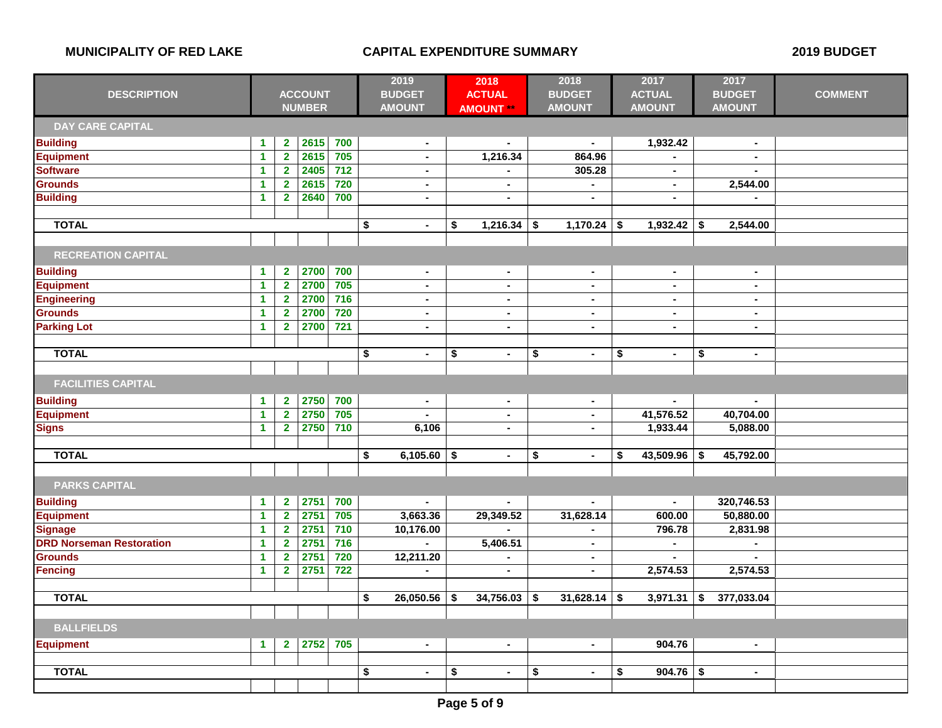| <b>DESCRIPTION</b>              |                      | <b>ACCOUNT</b>          |               | 2019<br><b>BUDGET</b> |                      | 2018<br><b>ACTUAL</b> |                  | 2018<br><b>BUDGET</b> |                | 2017<br><b>ACTUAL</b> |                | 2017<br><b>BUDGET</b> | <b>COMMENT</b> |  |
|---------------------------------|----------------------|-------------------------|---------------|-----------------------|----------------------|-----------------------|------------------|-----------------------|----------------|-----------------------|----------------|-----------------------|----------------|--|
|                                 |                      |                         | <b>NUMBER</b> |                       | <b>AMOUNT</b>        |                       | <b>AMOUNT **</b> |                       | <b>AMOUNT</b>  |                       | <b>AMOUNT</b>  |                       | <b>AMOUNT</b>  |  |
| <b>DAY CARE CAPITAL</b>         |                      |                         |               |                       |                      |                       |                  |                       |                |                       |                |                       |                |  |
| <b>Building</b>                 | $\mathbf{1}$         | $\mathbf{2}$            | 2615          | 700                   | $\blacksquare$       |                       | $\blacksquare$   |                       | $\sim$         |                       | 1,932.42       |                       | $\sim$         |  |
| <b>Equipment</b>                | 1                    | $\overline{2}$          | 2615          | 705                   | $\blacksquare$       |                       | 1,216.34         |                       | 864.96         |                       |                |                       |                |  |
| <b>Software</b>                 | $\mathbf{1}$         | $\overline{2}$          | 2405          | $\overline{712}$      | $\blacksquare$       |                       |                  |                       | 305.28         |                       | $\blacksquare$ |                       |                |  |
| <b>Grounds</b>                  | 1                    | $\overline{\mathbf{2}}$ | 2615          | 720                   | $\blacksquare$       |                       | $\blacksquare$   |                       | $\sim$         |                       | $\sim$         |                       | 2,544.00       |  |
| <b>Building</b>                 | 1                    | $\overline{2}$          | 2640          | 700                   | $\blacksquare$       |                       | $\overline{a}$   |                       | $\blacksquare$ |                       | $\sim$         |                       |                |  |
|                                 |                      |                         |               |                       |                      |                       |                  |                       |                |                       |                |                       |                |  |
| <b>TOTAL</b>                    |                      |                         |               |                       | \$<br>$\blacksquare$ | \$                    | 1,216.34         | \$                    | $1,170.24$ \$  |                       | 1,932.42       | \$                    | 2,544.00       |  |
|                                 |                      |                         |               |                       |                      |                       |                  |                       |                |                       |                |                       |                |  |
| <b>RECREATION CAPITAL</b>       |                      |                         |               |                       |                      |                       |                  |                       |                |                       |                |                       |                |  |
| <b>Building</b>                 | $\blacktriangleleft$ | $\mathbf{2}$            | 2700          | 700                   | $\blacksquare$       |                       | $\blacksquare$   |                       | $\sim$         |                       | $\blacksquare$ |                       | $\blacksquare$ |  |
| Equipment                       | $\mathbf{1}$         | $\overline{\mathbf{2}}$ | 2700          | 705                   |                      |                       | $\blacksquare$   |                       | $\blacksquare$ |                       | $\blacksquare$ |                       | $\blacksquare$ |  |
| <b>Engineering</b>              | $\mathbf{1}$         | $\overline{2}$          | 2700          | $\overline{716}$      | $\blacksquare$       |                       | $\sim$           |                       | $\blacksquare$ |                       | $\blacksquare$ |                       | $\sim$         |  |
| <b>Grounds</b>                  | 1                    | $\mathbf{2}$            | 2700          | 720                   | $\blacksquare$       |                       | $\blacksquare$   |                       | $\sim$         |                       | $\blacksquare$ |                       | $\blacksquare$ |  |
| <b>Parking Lot</b>              | $\blacktriangleleft$ | $\overline{2}$          | 2700          | 721                   | $\ddot{\phantom{a}}$ |                       | $\blacksquare$   |                       | $\sim$         |                       | $\blacksquare$ |                       | $\blacksquare$ |  |
|                                 |                      |                         |               |                       |                      |                       |                  |                       |                |                       |                |                       |                |  |
| <b>TOTAL</b>                    |                      |                         |               |                       | \$<br>$\sim$         | \$                    | $\blacksquare$   | \$                    | $\sim$         | \$                    | $\blacksquare$ | \$                    | $\blacksquare$ |  |
|                                 |                      |                         |               |                       |                      |                       |                  |                       |                |                       |                |                       |                |  |
| <b>FACILITIES CAPITAL</b>       |                      |                         |               |                       |                      |                       |                  |                       |                |                       |                |                       |                |  |
| <b>Building</b>                 | 1                    | $\overline{2}$          | 2750          | 700                   | $\blacksquare$       |                       | $\blacksquare$   |                       | $\sim$         |                       |                |                       |                |  |
| <b>Equipment</b>                | $\mathbf{1}$         | $\overline{\mathbf{2}}$ | 2750          | 705                   |                      |                       | $\blacksquare$   |                       | $\blacksquare$ |                       | 41,576.52      |                       | 40,704.00      |  |
| <b>Signs</b>                    | $\mathbf{1}$         | $\overline{\mathbf{2}}$ | 2750          | $710$                 | 6,106                |                       | $\sim$           |                       | $\sim$         |                       | 1,933.44       |                       | 5,088.00       |  |
|                                 |                      |                         |               |                       |                      |                       |                  |                       |                |                       |                |                       |                |  |
| <b>TOTAL</b>                    |                      |                         |               |                       | 6,105.60<br>\$       | \$                    | $\blacksquare$   | \$                    | $\blacksquare$ | \$                    | 43,509.96      | \$                    | 45,792.00      |  |
|                                 |                      |                         |               |                       |                      |                       |                  |                       |                |                       |                |                       |                |  |
| <b>PARKS CAPITAL</b>            |                      |                         |               |                       |                      |                       |                  |                       |                |                       |                |                       |                |  |
| <b>Building</b>                 | $\blacktriangleleft$ | $\mathbf{2}$            | 2751          | 700                   |                      |                       |                  |                       |                |                       |                |                       | 320,746.53     |  |
| Equipment                       | $\blacktriangleleft$ | $\overline{2}$          | 2751          | 705                   | 3,663.36             |                       | 29,349.52        |                       | 31,628.14      |                       | 600.00         |                       | 50,880.00      |  |
| <b>Signage</b>                  | $\mathbf{1}$         | $\overline{\mathbf{2}}$ | 2751          | 710                   | 10,176.00            |                       |                  |                       |                |                       | 796.78         |                       | 2,831.98       |  |
| <b>DRD Norseman Restoration</b> | 1                    | $\overline{\mathbf{2}}$ | 2751          | 716                   |                      |                       | 5,406.51         |                       | $\sim$         |                       | $\blacksquare$ |                       |                |  |
| <b>Grounds</b>                  | 1                    | $\overline{\mathbf{2}}$ | 2751          | 720                   | 12,211.20            |                       |                  |                       | $\blacksquare$ |                       | $\sim$         |                       |                |  |
| Fencing                         | $\blacktriangleleft$ | $\overline{2}$          | 2751          | 722                   |                      |                       | $\blacksquare$   |                       | $\sim$         |                       | 2,574.53       |                       | 2,574.53       |  |
|                                 |                      |                         |               |                       |                      |                       |                  |                       |                |                       |                |                       |                |  |
| <b>TOTAL</b>                    |                      |                         |               |                       | \$<br>26,050.56      | \$                    | 34,756.03        | \$                    | 31,628.14      | \$                    | 3,971.31       | \$                    | 377,033.04     |  |
|                                 |                      |                         |               |                       |                      |                       |                  |                       |                |                       |                |                       |                |  |
| <b>BALLFIELDS</b>               |                      |                         |               |                       |                      |                       |                  |                       |                |                       |                |                       |                |  |
| <b>Equipment</b>                | $\blacktriangleleft$ | $\mathbf{2}$            | 2752          | 705                   | $\bullet$            |                       | $\blacksquare$   |                       | $\blacksquare$ |                       | 904.76         |                       | $\blacksquare$ |  |
|                                 |                      |                         |               |                       |                      |                       |                  |                       |                |                       |                |                       |                |  |
| <b>TOTAL</b>                    |                      |                         |               |                       | \$<br>$\blacksquare$ | \$                    | $\blacksquare$   | \$                    | $\sim$         | \$                    | 904.76         | \$                    | $\blacksquare$ |  |
|                                 |                      |                         |               |                       |                      |                       |                  |                       |                |                       |                |                       |                |  |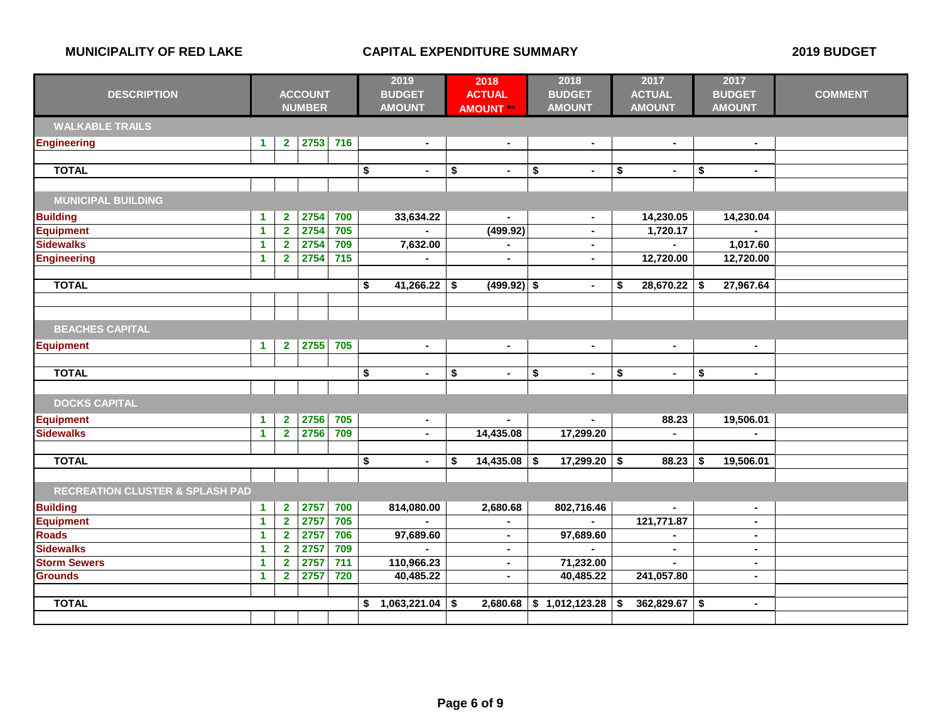|                                            | <b>ACCOUNT</b>       |                         |               |       | 2019                 | 2018           |                      | 2018             |    | 2017           |    | 2017           |                      |                |
|--------------------------------------------|----------------------|-------------------------|---------------|-------|----------------------|----------------|----------------------|------------------|----|----------------|----|----------------|----------------------|----------------|
| <b>DESCRIPTION</b>                         |                      |                         |               |       |                      | <b>BUDGET</b>  |                      | <b>ACTUAL</b>    |    | <b>BUDGET</b>  |    | <b>ACTUAL</b>  | <b>BUDGET</b>        | <b>COMMENT</b> |
|                                            |                      |                         | <b>NUMBER</b> |       |                      | <b>AMOUNT</b>  |                      | <b>AMOUNT **</b> |    | <b>AMOUNT</b>  |    | <b>AMOUNT</b>  | <b>AMOUNT</b>        |                |
| <b>WALKABLE TRAILS</b>                     |                      |                         |               |       |                      |                |                      |                  |    |                |    |                |                      |                |
| <b>Engineering</b>                         | $\blacktriangleleft$ | $\mathbf{2}$            | 2753          | 716   |                      | $\blacksquare$ |                      | $\blacksquare$   |    | $\sim$         |    | $\blacksquare$ | $\sim$               |                |
|                                            |                      |                         |               |       |                      |                |                      |                  |    |                |    |                |                      |                |
| <b>TOTAL</b>                               |                      |                         |               |       | \$                   | $\blacksquare$ | $\overline{\bullet}$ | $\blacksquare$   | \$ | $\sim$         | \$ | $\sim$         | \$<br>$\sim$         |                |
|                                            |                      |                         |               |       |                      |                |                      |                  |    |                |    |                |                      |                |
| <b>MUNICIPAL BUILDING</b>                  |                      |                         |               |       |                      |                |                      |                  |    |                |    |                |                      |                |
| <b>Building</b>                            | $\blacktriangleleft$ | $\mathbf{2}$            | 2754          | 700   |                      | 33,634.22      |                      | $\blacksquare$   |    | $\blacksquare$ |    | 14,230.05      | 14,230.04            |                |
| <b>Equipment</b>                           | $\blacktriangleleft$ | $\overline{2}$          | 2754          | 705   |                      |                |                      | (499.92)         |    | $\blacksquare$ |    | 1,720.17       |                      |                |
| <b>Sidewalks</b>                           | $\mathbf{1}$         | $\overline{2}$          | 2754          | 709   |                      | 7,632.00       |                      |                  |    |                |    |                | 1,017.60             |                |
| <b>Engineering</b>                         | 1                    | $\overline{2}$          | 2754          | $715$ |                      |                |                      | $\blacksquare$   |    | $\blacksquare$ |    | 12,720.00      | 12,720.00            |                |
|                                            |                      |                         |               |       |                      |                |                      |                  |    |                |    |                |                      |                |
| <b>TOTAL</b>                               |                      |                         |               |       | \$                   | 41,266.22      | \$                   | $(499.92)$ \$    |    | $\blacksquare$ | \$ | 28,670.22      | \$<br>27,967.64      |                |
|                                            |                      |                         |               |       |                      |                |                      |                  |    |                |    |                |                      |                |
|                                            |                      |                         |               |       |                      |                |                      |                  |    |                |    |                |                      |                |
| <b>BEACHES CAPITAL</b>                     |                      |                         |               |       |                      |                |                      |                  |    |                |    |                |                      |                |
| <b>Equipment</b>                           | $\blacktriangleleft$ | $\mathbf{2}$            | 2755          | 705   |                      | $\sim$         |                      | $\blacksquare$   |    | $\blacksquare$ |    | $\blacksquare$ | $\sim$               |                |
|                                            |                      |                         |               |       |                      |                |                      |                  |    |                |    |                |                      |                |
| <b>TOTAL</b>                               |                      |                         |               |       | \$                   | $\blacksquare$ | \$                   | ä,               | \$ | $\blacksquare$ | \$ | $\blacksquare$ | \$<br>$\blacksquare$ |                |
|                                            |                      |                         |               |       |                      |                |                      |                  |    |                |    |                |                      |                |
| <b>DOCKS CAPITAL</b>                       |                      |                         |               |       |                      |                |                      |                  |    |                |    |                |                      |                |
| <b>Equipment</b>                           | $\blacktriangleleft$ | $\mathbf 2$             | 2756          | 705   |                      | $\sim$         |                      |                  |    |                |    | 88.23          | 19,506.01            |                |
| <b>Sidewalks</b>                           | $\blacktriangleleft$ | $\overline{2}$          | 2756          | 709   |                      | $\blacksquare$ |                      | 14,435.08        |    | 17,299.20      |    |                |                      |                |
|                                            |                      |                         |               |       |                      |                |                      |                  |    |                |    |                |                      |                |
| <b>TOTAL</b>                               |                      |                         |               |       | $\overline{\bullet}$ | $\blacksquare$ | \$                   | 14,435.08        | \$ | 17,299.20      | \$ | 88.23          | \$<br>19,506.01      |                |
|                                            |                      |                         |               |       |                      |                |                      |                  |    |                |    |                |                      |                |
| <b>RECREATION CLUSTER &amp; SPLASH PAD</b> |                      |                         |               |       |                      |                |                      |                  |    |                |    |                |                      |                |
| <b>Building</b>                            | $\blacktriangleleft$ | $\mathbf{2}$            | 2757          | 700   |                      | 814,080.00     |                      | 2,680.68         |    | 802,716.46     |    |                | $\sim$               |                |
| <b>Equipment</b>                           | $\mathbf{1}$         | $\overline{\mathbf{2}}$ | 2757          | 705   |                      |                |                      |                  |    |                |    | 121,771.87     | $\sim$               |                |
| <b>Roads</b>                               | $\overline{1}$       | $\overline{2}$          | 2757          | 706   |                      | 97,689.60      |                      | $\blacksquare$   |    | 97,689.60      |    |                | $\blacksquare$       |                |
| <b>Sidewalks</b>                           | $\blacktriangleleft$ | $\mathbf{2}$            | 2757          | 709   |                      |                |                      | $\blacksquare$   |    |                |    | $\sim$         | $\sim$               |                |
| <b>Storm Sewers</b>                        | 1                    | $\overline{2}$          | 2757          | 711   |                      | 110,966.23     |                      | $\blacksquare$   |    | 71,232.00      |    |                | $\bullet$            |                |
| <b>Grounds</b>                             | $\blacktriangleleft$ | $\mathbf{2}$            | 2757          | 720   |                      | 40,485.22      |                      | $\blacksquare$   |    | 40,485.22      |    | 241,057.80     | $\sim$               |                |
|                                            |                      |                         |               |       |                      |                |                      |                  |    |                |    |                |                      |                |
| <b>TOTAL</b>                               |                      |                         |               |       |                      | 1,063,221.04   | - \$                 | 2,680.68         |    | \$1,012,123.28 | \$ | 362,829.67     | \$<br>$\sim$         |                |
|                                            |                      |                         |               |       |                      |                |                      |                  |    |                |    |                |                      |                |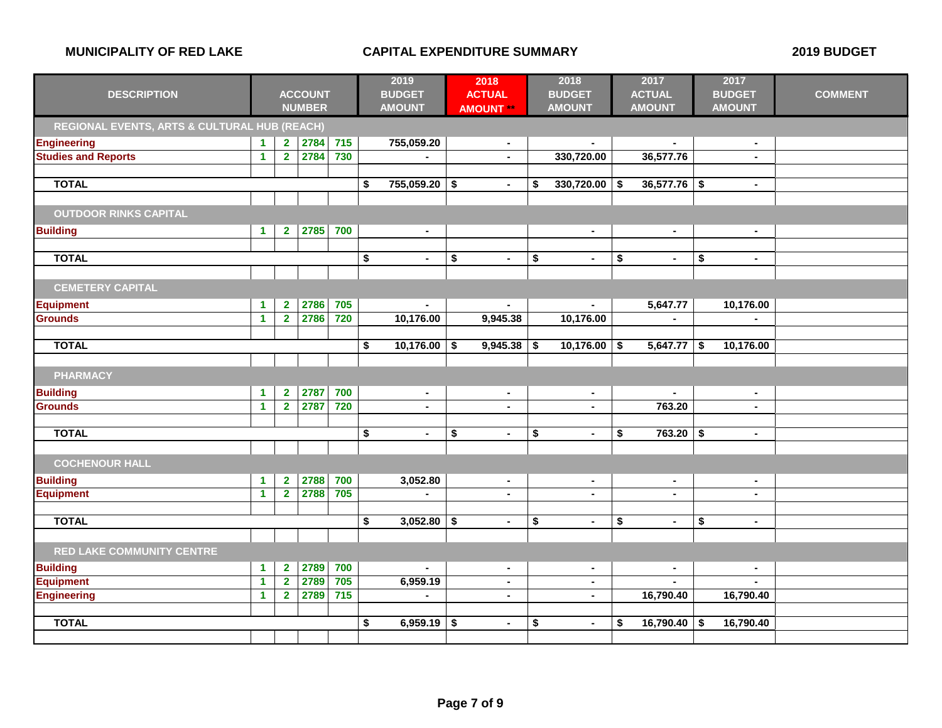|                                              |                      |                |                |                  |                                      | 2019           | 2018                 | 2018                 |                      | 2017           |                      | 2017           |                |
|----------------------------------------------|----------------------|----------------|----------------|------------------|--------------------------------------|----------------|----------------------|----------------------|----------------------|----------------|----------------------|----------------|----------------|
| <b>DESCRIPTION</b>                           |                      |                | <b>ACCOUNT</b> |                  |                                      | <b>BUDGET</b>  | <b>ACTUAL</b>        | <b>BUDGET</b>        |                      | <b>ACTUAL</b>  |                      | <b>BUDGET</b>  | <b>COMMENT</b> |
|                                              |                      |                | <b>NUMBER</b>  |                  |                                      | <b>AMOUNT</b>  | <b>AMOUNT **</b>     | <b>AMOUNT</b>        |                      | <b>AMOUNT</b>  |                      | <b>AMOUNT</b>  |                |
| REGIONAL EVENTS, ARTS & CULTURAL HUB (REACH) |                      |                |                |                  |                                      |                |                      |                      |                      |                |                      |                |                |
| <b>Engineering</b>                           | 1.                   | $\mathbf{2}$   | 2784           | $\overline{715}$ |                                      | 755,059.20     | $\blacksquare$       |                      |                      |                |                      | $\blacksquare$ |                |
| <b>Studies and Reports</b>                   | $\mathbf{1}$         | $\mathbf{2}$   | 2784           | 730              |                                      | $\sim$         |                      | 330,720.00           |                      | 36,577.76      |                      | $\blacksquare$ |                |
|                                              |                      |                |                |                  |                                      |                |                      |                      |                      |                |                      |                |                |
| <b>TOTAL</b>                                 |                      |                |                |                  | \$                                   | 755,059.20     | \$<br>$\blacksquare$ | \$<br>330,720.00     | -\$                  | 36,577.76      | \$                   | $\bullet$      |                |
|                                              |                      |                |                |                  |                                      |                |                      |                      |                      |                |                      |                |                |
| <b>OUTDOOR RINKS CAPITAL</b>                 |                      |                |                |                  |                                      |                |                      |                      |                      |                |                      |                |                |
| <b>Building</b>                              | $\mathbf{1}$         | $\mathbf{2}$   | 2785           | 700              |                                      | $\sim$         |                      | $\blacksquare$       |                      | $\blacksquare$ |                      | $\sim$         |                |
|                                              |                      |                |                |                  |                                      |                |                      |                      |                      |                |                      |                |                |
| <b>TOTAL</b>                                 |                      |                |                |                  | \$                                   | $\blacksquare$ | \$<br>$\blacksquare$ | \$<br>$\blacksquare$ | \$                   | $\blacksquare$ | \$                   | $\blacksquare$ |                |
|                                              |                      |                |                |                  |                                      |                |                      |                      |                      |                |                      |                |                |
| <b>CEMETERY CAPITAL</b>                      |                      |                |                |                  |                                      |                |                      |                      |                      |                |                      |                |                |
| <b>Equipment</b>                             | 1                    | $\mathbf{2}$   | 2786           | 705              |                                      | $\sim$         | $\sim$               | $\blacksquare$       |                      | 5,647.77       |                      | 10,176.00      |                |
| <b>Grounds</b>                               | $\mathbf{1}$         | $\mathbf{2}$   | 2786           | 720              |                                      | 10,176.00      | 9,945.38             | 10,176.00            |                      | $\blacksquare$ |                      |                |                |
|                                              |                      |                |                |                  |                                      |                |                      |                      |                      |                |                      |                |                |
| <b>TOTAL</b>                                 |                      |                |                |                  | \$                                   | $10,176.00$ \$ | 9,945.38             | \$<br>10,176.00      | \$                   | 5,647.77       | \$                   | 10,176.00      |                |
|                                              |                      |                |                |                  |                                      |                |                      |                      |                      |                |                      |                |                |
| <b>PHARMACY</b>                              |                      |                |                |                  |                                      |                |                      |                      |                      |                |                      |                |                |
| <b>Building</b>                              | $\blacktriangleleft$ | $\mathbf{2}$   | 2787           | 700              |                                      | $\sim$         | $\sim$               | $\sim$               |                      | $\blacksquare$ |                      | $\sim$         |                |
| <b>Grounds</b>                               | $\mathbf{1}$         | $\mathbf{2}$   | 2787           | 720              |                                      | $\blacksquare$ | $\blacksquare$       |                      |                      | 763.20         |                      | $\blacksquare$ |                |
|                                              |                      |                |                |                  |                                      |                |                      |                      |                      |                |                      |                |                |
| <b>TOTAL</b>                                 |                      |                |                |                  | \$                                   | $\bullet$      | \$<br>$\blacksquare$ | \$<br>$\blacksquare$ | \$                   | 763.20         | -\$                  | $\blacksquare$ |                |
|                                              |                      |                |                |                  |                                      |                |                      |                      |                      |                |                      |                |                |
| <b>COCHENOUR HALL</b>                        |                      |                |                |                  |                                      |                |                      |                      |                      |                |                      |                |                |
| <b>Building</b>                              | 1                    | $\mathbf{2}$   | 2788           | 700              |                                      | 3,052.80       | $\blacksquare$       | $\blacksquare$       |                      | $\blacksquare$ |                      | $\blacksquare$ |                |
| <b>Equipment</b>                             | $\mathbf{1}$         | $\mathbf{2}$   | 2788           | 705              |                                      | $\blacksquare$ | $\sim$               | $\blacksquare$       |                      | ٠              |                      | $\blacksquare$ |                |
|                                              |                      |                |                |                  |                                      |                |                      |                      |                      |                |                      |                |                |
| <b>TOTAL</b>                                 |                      |                |                |                  | $\overline{\boldsymbol{\mathsf{s}}}$ | $3,052.80$ \$  | $\blacksquare$       | \$<br>$\blacksquare$ | $\overline{\bullet}$ | $\blacksquare$ | $\overline{\bullet}$ | $\sim$         |                |
|                                              |                      |                |                |                  |                                      |                |                      |                      |                      |                |                      |                |                |
| <b>RED LAKE COMMUNITY CENTRE</b>             |                      |                |                |                  |                                      |                |                      |                      |                      |                |                      |                |                |
| <b>Building</b>                              | $\mathbf{1}$         | $\mathbf{2}$   | 2789           | 700              |                                      | $\sim$         | $\blacksquare$       | $\blacksquare$       |                      | $\blacksquare$ |                      | $\sim$         |                |
| <b>Equipment</b>                             | $\mathbf{1}$         | $\overline{2}$ | 2789           | 705              |                                      | 6,959.19       | $\blacksquare$       | $\blacksquare$       |                      |                |                      |                |                |
| <b>Engineering</b>                           | $\blacktriangleleft$ | $\overline{2}$ | 2789           | $\overline{715}$ |                                      |                | $\blacksquare$       | $\blacksquare$       |                      | 16,790.40      |                      | 16,790.40      |                |
|                                              |                      |                |                |                  |                                      |                |                      |                      |                      |                |                      |                |                |
| <b>TOTAL</b>                                 |                      |                |                |                  | \$                                   | 6,959.19       | \$<br>$\blacksquare$ | \$<br>$\blacksquare$ | S                    | 16,790.40      | -\$                  | 16,790.40      |                |
|                                              |                      |                |                |                  |                                      |                |                      |                      |                      |                |                      |                |                |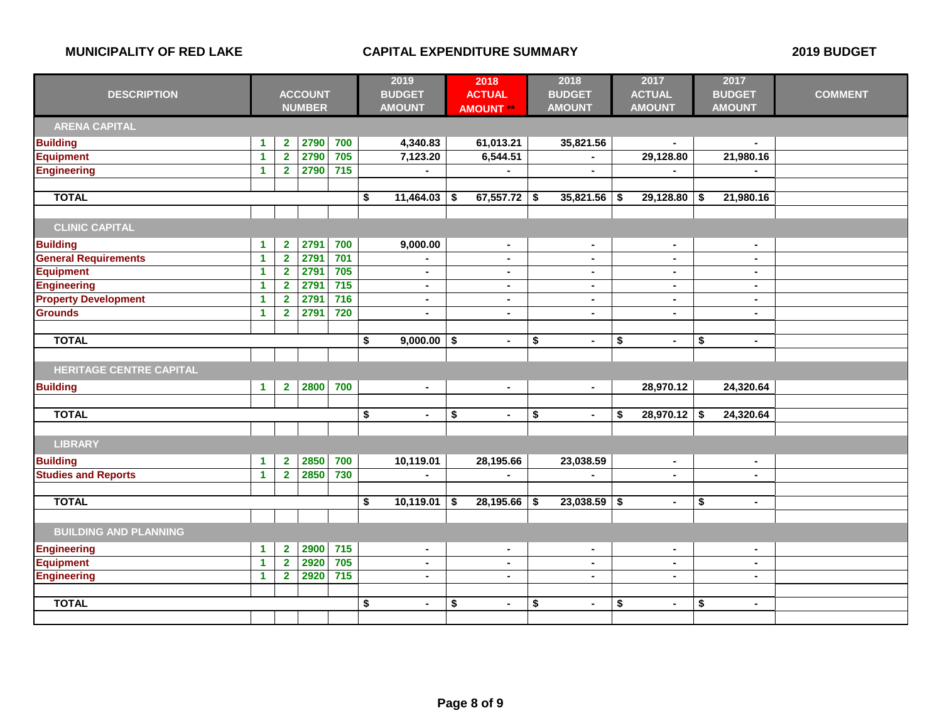|                                |                      |                         |                | 2019             | 2018                 |    |                  | 2018 | 2017           |    | 2017           |    |                |                |
|--------------------------------|----------------------|-------------------------|----------------|------------------|----------------------|----|------------------|------|----------------|----|----------------|----|----------------|----------------|
| <b>DESCRIPTION</b>             |                      |                         | <b>ACCOUNT</b> |                  | <b>BUDGET</b>        |    | <b>ACTUAL</b>    |      | <b>BUDGET</b>  |    | <b>ACTUAL</b>  |    | <b>BUDGET</b>  | <b>COMMENT</b> |
|                                |                      |                         | <b>NUMBER</b>  |                  | <b>AMOUNT</b>        |    | <b>AMOUNT **</b> |      | <b>AMOUNT</b>  |    | <b>AMOUNT</b>  |    | <b>AMOUNT</b>  |                |
| <b>ARENA CAPITAL</b>           |                      |                         |                |                  |                      |    |                  |      |                |    |                |    |                |                |
| <b>Building</b>                | 1                    | $\overline{\mathbf{2}}$ | 2790           | 700              | 4,340.83             |    | 61,013.21        |      | 35,821.56      |    | $\blacksquare$ |    |                |                |
| <b>Equipment</b>               | $\mathbf{1}$         | $\overline{\mathbf{2}}$ | 2790           | 705              | 7,123.20             |    | 6,544.51         |      |                |    | 29,128.80      |    | 21,980.16      |                |
| <b>Engineering</b>             | 1                    | $\overline{2}$          | 2790           | $\overline{715}$ |                      |    |                  |      | $\blacksquare$ |    |                |    |                |                |
|                                |                      |                         |                |                  |                      |    |                  |      |                |    |                |    |                |                |
| <b>TOTAL</b>                   |                      |                         |                |                  | \$<br>11,464.03      | \$ | 67,557.72        | \$   | 35,821.56      | \$ | 29,128.80      | \$ | 21,980.16      |                |
|                                |                      |                         |                |                  |                      |    |                  |      |                |    |                |    |                |                |
| <b>CLINIC CAPITAL</b>          |                      |                         |                |                  |                      |    |                  |      |                |    |                |    |                |                |
| <b>Building</b>                | $\blacktriangleleft$ | $\mathbf{2}$            | 2791           | 700              | 9,000.00             |    | $\blacksquare$   |      | $\blacksquare$ |    | $\blacksquare$ |    | $\blacksquare$ |                |
| <b>General Requirements</b>    | $\mathbf{1}$         | $\overline{2}$          | 2791           | 701              | $\blacksquare$       |    | $\sim$           |      | $\sim$         |    | $\sim$         |    | $\sim$         |                |
| <b>Equipment</b>               | 1                    | $\overline{2}$          | 2791           | 705              | $\blacksquare$       |    | $\blacksquare$   |      | $\blacksquare$ |    | $\blacksquare$ |    | $\sim$         |                |
| <b>Engineering</b>             | $\overline{1}$       | $\overline{2}$          | 2791           | $715$            | $\blacksquare$       |    | $\blacksquare$   |      | $\blacksquare$ |    | $\blacksquare$ |    | $\blacksquare$ |                |
| <b>Property Development</b>    | $\overline{1}$       | $\overline{2}$          | 2791           | $\overline{716}$ | $\blacksquare$       |    | $\blacksquare$   |      | $\blacksquare$ |    | $\sim$         |    | $\sim$         |                |
| <b>Grounds</b>                 | 1                    | $\overline{2}$          | 2791           | 720              | $\blacksquare$       |    | $\blacksquare$   |      | $\blacksquare$ |    | $\blacksquare$ |    | $\sim$         |                |
|                                |                      |                         |                |                  |                      |    |                  |      |                |    |                |    |                |                |
| <b>TOTAL</b>                   |                      |                         |                |                  | \$<br>$9,000.00$ \$  |    | $\blacksquare$   | \$   | $\blacksquare$ | \$ | $\blacksquare$ | \$ | $\blacksquare$ |                |
|                                |                      |                         |                |                  |                      |    |                  |      |                |    |                |    |                |                |
| <b>HERITAGE CENTRE CAPITAL</b> |                      |                         |                |                  |                      |    |                  |      |                |    |                |    |                |                |
| <b>Building</b>                | $\mathbf{1}$         | $\mathbf{2}$            | 2800           | 700              | $\blacksquare$       |    | $\blacksquare$   |      | $\sim$         |    | 28,970.12      |    | 24,320.64      |                |
|                                |                      |                         |                |                  |                      |    |                  |      |                |    |                |    |                |                |
| <b>TOTAL</b>                   |                      |                         |                |                  | \$<br>$\blacksquare$ | \$ | $\blacksquare$   | \$   | $\blacksquare$ | \$ | 28,970.12      | \$ | 24,320.64      |                |
|                                |                      |                         |                |                  |                      |    |                  |      |                |    |                |    |                |                |
| <b>LIBRARY</b>                 |                      |                         |                |                  |                      |    |                  |      |                |    |                |    |                |                |
| <b>Building</b>                | $\blacktriangleleft$ | $\overline{\mathbf{2}}$ | 2850           | 700              | 10,119.01            |    | 28,195.66        |      | 23,038.59      |    | $\blacksquare$ |    | $\blacksquare$ |                |
| <b>Studies and Reports</b>     | $\mathbf{1}$         | $\overline{2}$          | 2850           | 730              |                      |    |                  |      |                |    | $\blacksquare$ |    | $\blacksquare$ |                |
|                                |                      |                         |                |                  |                      |    |                  |      |                |    |                |    |                |                |
| <b>TOTAL</b>                   |                      |                         |                |                  | \$<br>10,119.01      | \$ | 28,195.66        | \$   | 23,038.59      | \$ | $\bullet$      | \$ | $\blacksquare$ |                |
|                                |                      |                         |                |                  |                      |    |                  |      |                |    |                |    |                |                |
| <b>BUILDING AND PLANNING</b>   |                      |                         |                |                  |                      |    |                  |      |                |    |                |    |                |                |
| <b>Engineering</b>             | 1                    | $\mathbf{2}$            | 2900           | 715              | $\blacksquare$       |    | $\blacksquare$   |      | $\blacksquare$ |    | $\sim$         |    | $\sim$         |                |
| <b>Equipment</b>               | 1                    | $\overline{\mathbf{2}}$ | 2920           | 705              | $\blacksquare$       |    | $\blacksquare$   |      | ٠              |    | $\blacksquare$ |    | $\sim$         |                |
| <b>Engineering</b>             | 1                    | $\overline{2}$          | 2920           | $715$            | $\blacksquare$       |    | ä,               |      | $\blacksquare$ |    | $\blacksquare$ |    | $\blacksquare$ |                |
|                                |                      |                         |                |                  |                      |    |                  |      |                |    |                |    |                |                |
| <b>TOTAL</b>                   |                      |                         |                |                  | \$<br>$\blacksquare$ | \$ | $\blacksquare$   | \$   | $\blacksquare$ | \$ | $\blacksquare$ | \$ | $\sim$         |                |
|                                |                      |                         |                |                  |                      |    |                  |      |                |    |                |    |                |                |